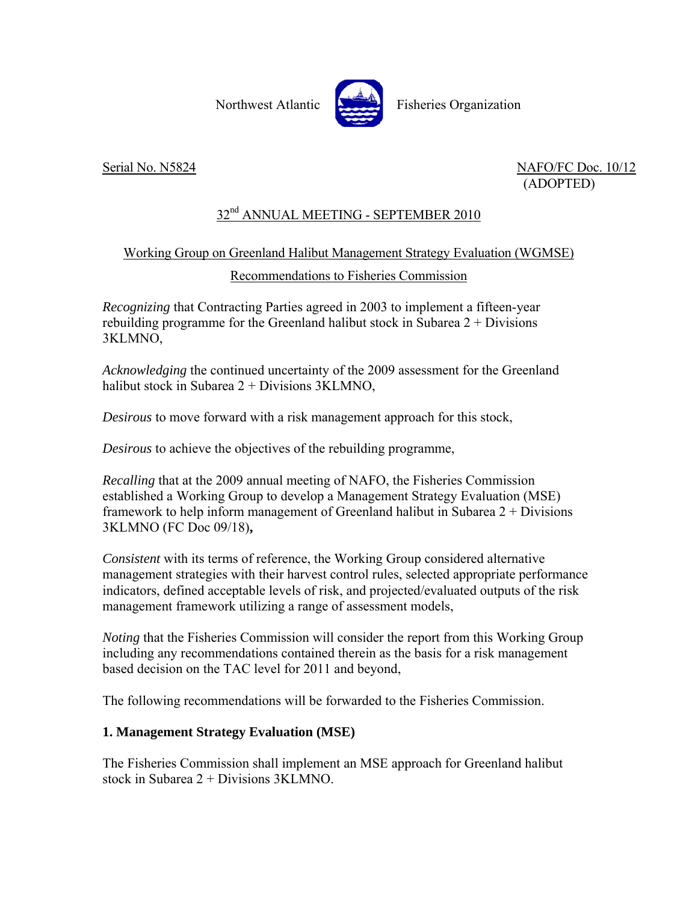Northwest Atlantic **Northus** Fisheries Organization

Serial No. N5824 NAFO/FC Doc. 10/12 (ADOPTED)

# 32<sup>nd</sup> ANNUAL MEETING - SEPTEMBER 2010

## Working Group on Greenland Halibut Management Strategy Evaluation (WGMSE)

Recommendations to Fisheries Commission

*Recognizing* that Contracting Parties agreed in 2003 to implement a fifteen-year rebuilding programme for the Greenland halibut stock in Subarea  $2 + Divisions$ 3KLMNO,

*Acknowledging* the continued uncertainty of the 2009 assessment for the Greenland halibut stock in Subarea 2 + Divisions 3KLMNO,

*Desirous* to move forward with a risk management approach for this stock,

*Desirous* to achieve the objectives of the rebuilding programme,

*Recalling* that at the 2009 annual meeting of NAFO, the Fisheries Commission established a Working Group to develop a Management Strategy Evaluation (MSE) framework to help inform management of Greenland halibut in Subarea 2 + Divisions 3KLMNO (FC Doc 09/18)**,**

*Consistent* with its terms of reference, the Working Group considered alternative management strategies with their harvest control rules, selected appropriate performance indicators, defined acceptable levels of risk, and projected/evaluated outputs of the risk management framework utilizing a range of assessment models,

*Noting* that the Fisheries Commission will consider the report from this Working Group including any recommendations contained therein as the basis for a risk management based decision on the TAC level for 2011 and beyond,

The following recommendations will be forwarded to the Fisheries Commission.

### **1. Management Strategy Evaluation (MSE)**

The Fisheries Commission shall implement an MSE approach for Greenland halibut stock in Subarea 2 + Divisions 3KLMNO.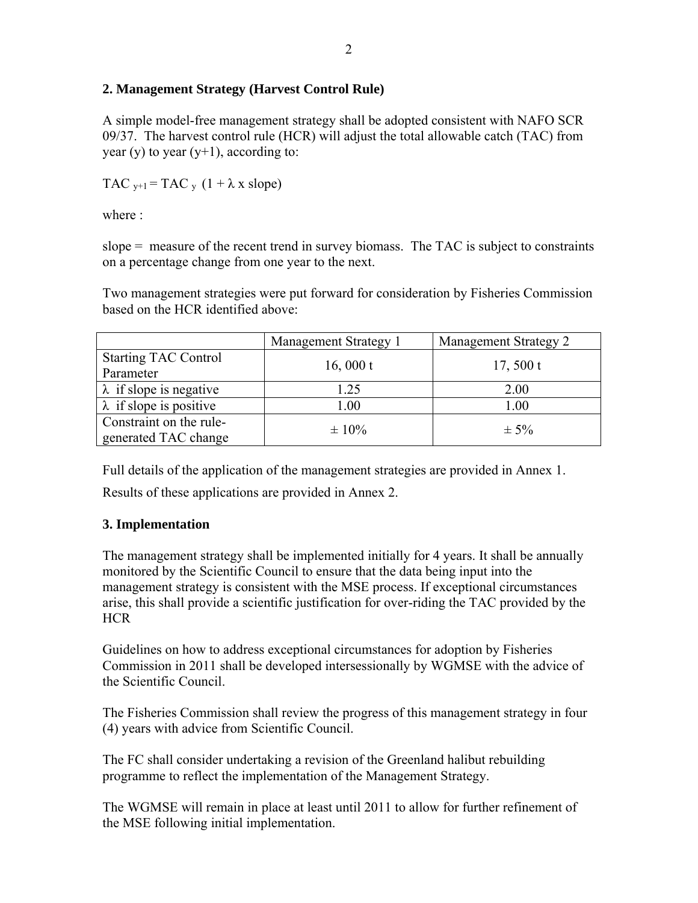### **2. Management Strategy (Harvest Control Rule)**

A simple model-free management strategy shall be adopted consistent with NAFO SCR 09/37. The harvest control rule (HCR) will adjust the total allowable catch (TAC) from year (y) to year  $(y+1)$ , according to:

TAC  $_{v+1}$  = TAC  $_{v}$  (1 +  $\lambda$  x slope)

where  $\cdot$ 

slope  $=$  measure of the recent trend in survey biomass. The TAC is subject to constraints on a percentage change from one year to the next.

Two management strategies were put forward for consideration by Fisheries Commission based on the HCR identified above:

|                                | Management Strategy 1 | Management Strategy 2 |  |
|--------------------------------|-----------------------|-----------------------|--|
| <b>Starting TAC Control</b>    | 16,000 $t$            | 17, 500 t             |  |
| Parameter                      |                       |                       |  |
| $\lambda$ if slope is negative | 1.25                  | 2.00                  |  |
| $\lambda$ if slope is positive | 1.00                  | 1.00                  |  |
| Constraint on the rule-        | $\pm 10\%$            | $\pm$ 5%              |  |
| generated TAC change           |                       |                       |  |

Full details of the application of the management strategies are provided in Annex 1. Results of these applications are provided in Annex 2.

### **3. Implementation**

The management strategy shall be implemented initially for 4 years. It shall be annually monitored by the Scientific Council to ensure that the data being input into the management strategy is consistent with the MSE process. If exceptional circumstances arise, this shall provide a scientific justification for over-riding the TAC provided by the HCR

Guidelines on how to address exceptional circumstances for adoption by Fisheries Commission in 2011 shall be developed intersessionally by WGMSE with the advice of the Scientific Council.

The Fisheries Commission shall review the progress of this management strategy in four (4) years with advice from Scientific Council.

The FC shall consider undertaking a revision of the Greenland halibut rebuilding programme to reflect the implementation of the Management Strategy.

The WGMSE will remain in place at least until 2011 to allow for further refinement of the MSE following initial implementation.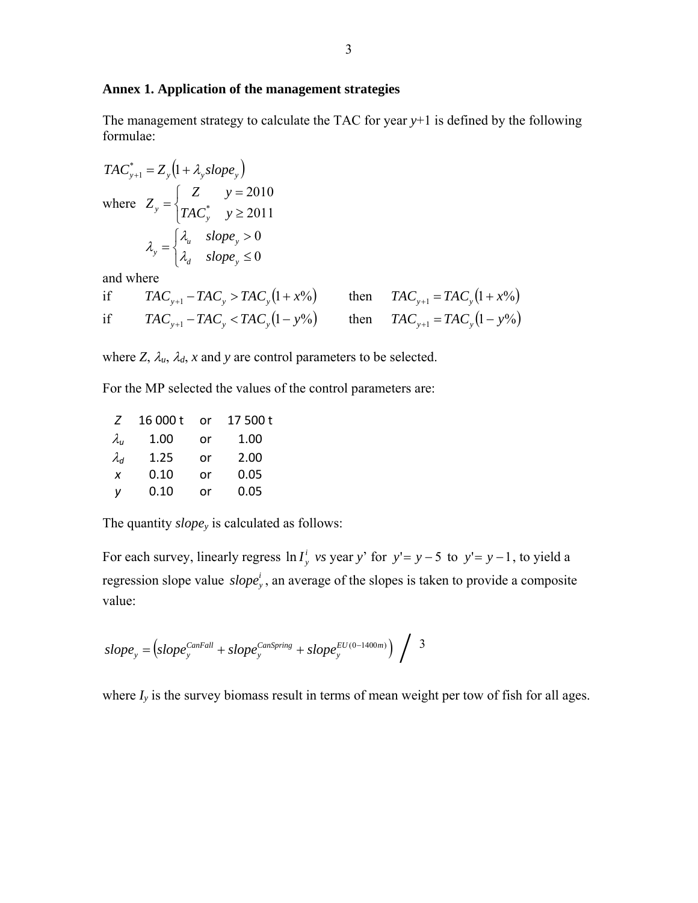#### **Annex 1. Application of the management strategies**

The management strategy to calculate the TAC for year *y*+1 is defined by the following formulae:

$$
TAC_{y+1}^{*} = Z_{y} (1 + \lambda_{y} slope_{y})
$$
  
where  $Z_{y} = \begin{cases} Z & y = 2010 \\ TAC_{y}^{*} & y \ge 2011 \end{cases}$   

$$
\lambda_{y} = \begin{cases} \lambda_{u} & slope_{y} > 0 \\ \lambda_{d} & slope_{y} \le 0 \end{cases}
$$

and where

if 
$$
TAC_{y+1} - TAC_y > TAC_y(1 + x\%)
$$
 then  $TAC_{y+1} = TAC_y(1 + x\%)$   
if  $TAC_{y+1} - TAC_y < TAC_y(1 - y\%)$  then  $TAC_{y+1} = TAC_y(1 - y\%)$ 

where *Z*,  $\lambda_u$ ,  $\lambda_d$ , *x* and *y* are control parameters to be selected.

For the MP selected the values of the control parameters are:

| Z                         | 16 000 t | or | 17 500 t |  |
|---------------------------|----------|----|----------|--|
| $\lambda_{\sf u}$         | 1.00     | or | 1.00     |  |
| $\lambda_d$               | 1.25     | or | 2.00     |  |
| $\boldsymbol{\mathsf{x}}$ | 0.10     | or | 0.05     |  |
| v                         | 0.10     | or | 0.05     |  |

The quantity *slopey* is calculated as follows:

For each survey, linearly regress  $\ln I_y^i$  *vs* year *y*' for  $y' = y - 5$  to  $y' = y - 1$ , to yield a regression slope value *slope*<sup>*i*</sup>, an average of the slopes is taken to provide a composite value:

$$
slope_{y} = (slope_{y}^{CanFall} + slope_{y}^{CanSpring} + slope_{y}^{EU(0-1400m)}) / 3
$$

where  $I_y$  is the survey biomass result in terms of mean weight per tow of fish for all ages.